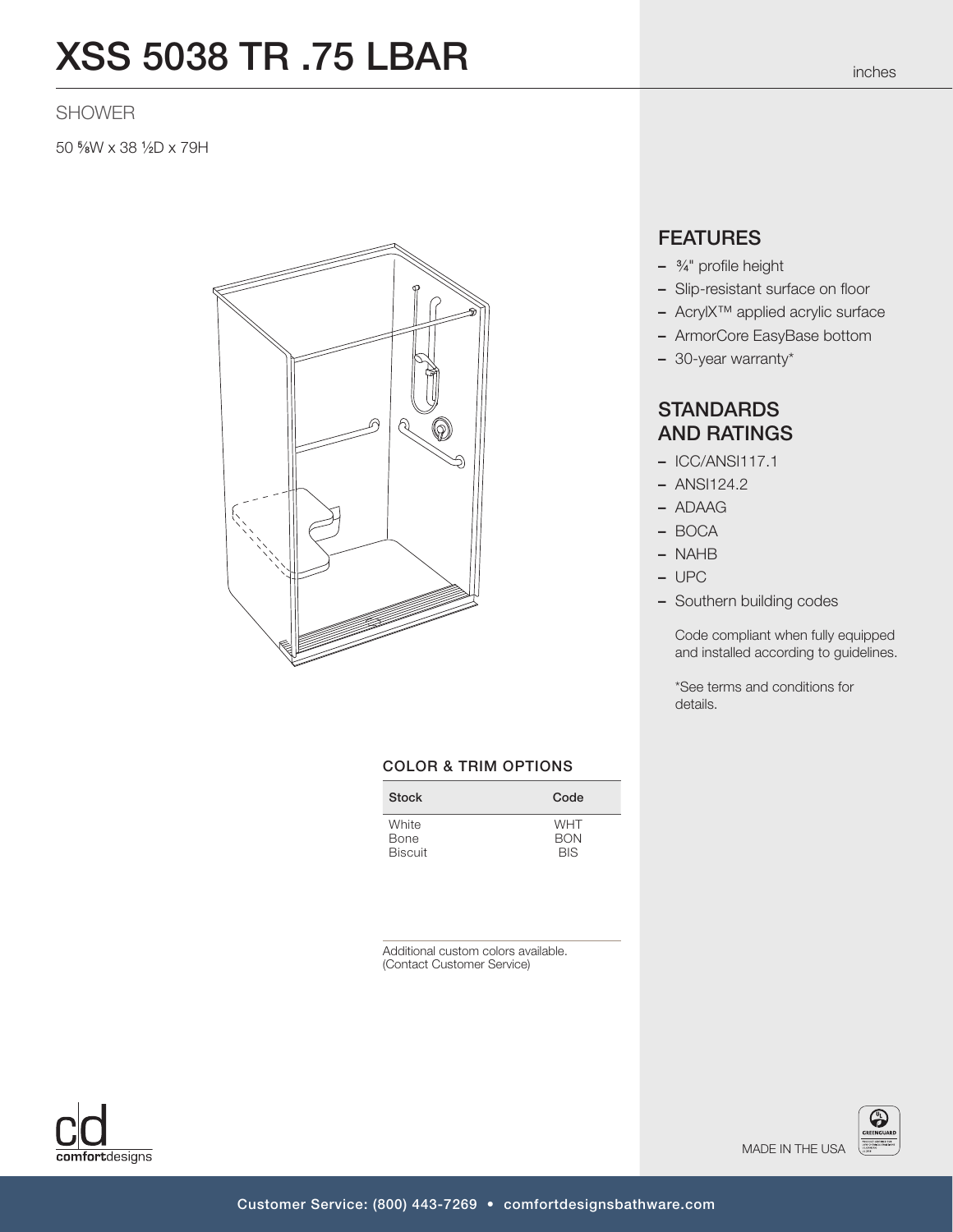# XSS 5038 TR .75 LBAR

### SHOWER

50 5 ⁄8W x 38 1 ⁄2D x 79H



### COLOR & TRIM OPTIONS

| <b>Stock</b>   | Code       |
|----------------|------------|
| White          | <b>WHT</b> |
| Bone           | <b>BON</b> |
| <b>Biscuit</b> | <b>BIS</b> |

Additional custom colors available. (Contact Customer Service)



# **FEATURES**

- <sup>3</sup> ⁄4" profile height
- Slip-resistant surface on floor
- AcrylX™ applied acrylic surface
- ArmorCore EasyBase bottom
- 30-year warranty\*

## **STANDARDS** AND RATINGS

- ICC/ANSI117.1
- ANSI124.2
- ADAAG
- BOCA
- NAHB
- UPC
- Southern building codes

Code compliant when fully equipped and installed according to guidelines.

\*See terms and conditions for details.

MADE IN THE USA